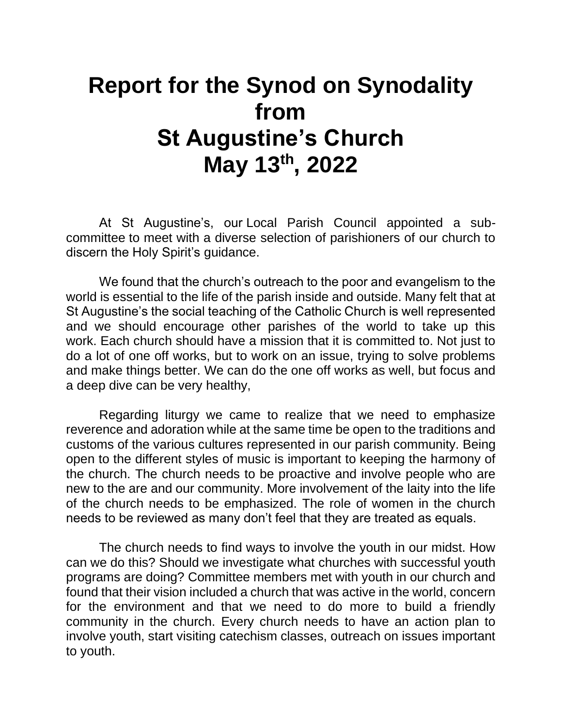## **Report for the Synod on Synodality from St Augustine's Church May 13 th, 2022**

At St Augustine's, our Local Parish Council appointed a subcommittee to meet with a diverse selection of parishioners of our church to discern the Holy Spirit's guidance.

We found that the church's outreach to the poor and evangelism to the world is essential to the life of the parish inside and outside. Many felt that at St Augustine's the social teaching of the Catholic Church is well represented and we should encourage other parishes of the world to take up this work. Each church should have a mission that it is committed to. Not just to do a lot of one off works, but to work on an issue, trying to solve problems and make things better. We can do the one off works as well, but focus and a deep dive can be very healthy,

Regarding liturgy we came to realize that we need to emphasize reverence and adoration while at the same time be open to the traditions and customs of the various cultures represented in our parish community. Being open to the different styles of music is important to keeping the harmony of the church. The church needs to be proactive and involve people who are new to the are and our community. More involvement of the laity into the life of the church needs to be emphasized. The role of women in the church needs to be reviewed as many don't feel that they are treated as equals.

The church needs to find ways to involve the youth in our midst. How can we do this? Should we investigate what churches with successful youth programs are doing? Committee members met with youth in our church and found that their vision included a church that was active in the world, concern for the environment and that we need to do more to build a friendly community in the church. Every church needs to have an action plan to involve youth, start visiting catechism classes, outreach on issues important to youth.